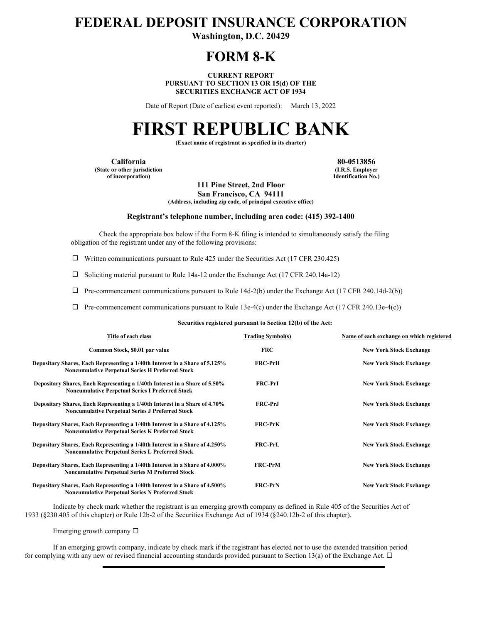# **FEDERAL DEPOSIT INSURANCE CORPORATION**

**Washington, D.C. 20429** 

## **FORM 8-K**

**CURRENT REPORT PURSUANT TO SECTION 13 OR 15(d) OF THE SECURITIES EXCHANGE ACT OF 1934** 

Date of Report (Date of earliest event reported): March 13, 2022

# **FIRST REPUBLIC BANK**

**(Exact name of registrant as specified in its charter)** 

**California 80-0513856 (State or other jurisdiction of incorporation)**

**(I.R.S. Employer Identification No.)**

**111 Pine Street, 2nd Floor San Francisco, CA 94111**

**(Address, including zip code, of principal executive office)** 

#### **Registrant's telephone number, including area code: (415) 392-1400**

Check the appropriate box below if the Form 8-K filing is intended to simultaneously satisfy the filing obligation of the registrant under any of the following provisions:

 $\Box$  Written communications pursuant to Rule 425 under the Securities Act (17 CFR 230.425)

 $\Box$  Soliciting material pursuant to Rule 14a-12 under the Exchange Act (17 CFR 240.14a-12)

 $\Box$  Pre-commencement communications pursuant to Rule 14d-2(b) under the Exchange Act (17 CFR 240.14d-2(b))

 $\Box$  Pre-commencement communications pursuant to Rule 13e-4(c) under the Exchange Act (17 CFR 240.13e-4(c))

**Securities registered pursuant to Section 12(b) of the Act:**

| Title of each class                                                                                                                    | <b>Trading Symbol(s)</b> | Name of each exchange on which registered |
|----------------------------------------------------------------------------------------------------------------------------------------|--------------------------|-------------------------------------------|
| Common Stock, \$0.01 par value                                                                                                         | <b>FRC</b>               | <b>New York Stock Exchange</b>            |
| Depositary Shares, Each Representing a 1/40th Interest in a Share of 5.125%<br><b>Noncumulative Perpetual Series H Preferred Stock</b> | <b>FRC-PrH</b>           | <b>New York Stock Exchange</b>            |
| Depositary Shares, Each Representing a 1/40th Interest in a Share of 5.50%<br><b>Noncumulative Perpetual Series I Preferred Stock</b>  | <b>FRC-PrI</b>           | <b>New York Stock Exchange</b>            |
| Depositary Shares, Each Representing a 1/40th Interest in a Share of 4.70%<br><b>Noncumulative Perpetual Series J Preferred Stock</b>  | <b>FRC-PrJ</b>           | <b>New York Stock Exchange</b>            |
| Depositary Shares, Each Representing a 1/40th Interest in a Share of 4.125%<br><b>Noncumulative Perpetual Series K Preferred Stock</b> | <b>FRC-PrK</b>           | <b>New York Stock Exchange</b>            |
| Depositary Shares, Each Representing a 1/40th Interest in a Share of 4.250%<br><b>Noncumulative Perpetual Series L Preferred Stock</b> | <b>FRC-PrL</b>           | <b>New York Stock Exchange</b>            |
| Depositary Shares, Each Representing a 1/40th Interest in a Share of 4.000%<br><b>Noncumulative Perpetual Series M Preferred Stock</b> | <b>FRC-PrM</b>           | <b>New York Stock Exchange</b>            |
| Depositary Shares, Each Representing a 1/40th Interest in a Share of 4.500%<br><b>Noncumulative Pernetual Series N Preferred Stock</b> | <b>FRC-PrN</b>           | <b>New York Stock Exchange</b>            |

Indicate by check mark whether the registrant is an emerging growth company as defined in Rule 405 of the Securities Act of 1933 (§230.405 of this chapter) or Rule 12b-2 of the Securities Exchange Act of 1934 (§240.12b-2 of this chapter).

Emerging growth company  $\Box$ 

If an emerging growth company, indicate by check mark if the registrant has elected not to use the extended transition period for complying with any new or revised financial accounting standards provided pursuant to Section 13(a) of the Exchange Act.  $\Box$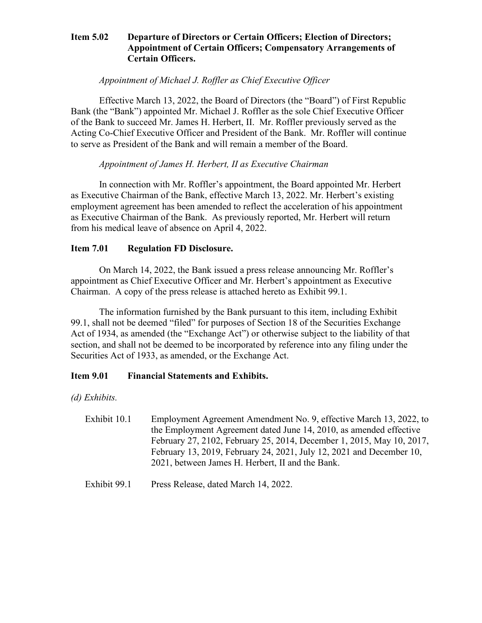#### **Item 5.02 Departure of Directors or Certain Officers; Election of Directors; Appointment of Certain Officers; Compensatory Arrangements of Certain Officers.**

*Appointment of Michael J. Roffler as Chief Executive Officer*

Effective March 13, 2022, the Board of Directors (the "Board") of First Republic Bank (the "Bank") appointed Mr. Michael J. Roffler as the sole Chief Executive Officer of the Bank to succeed Mr. James H. Herbert, II. Mr. Roffler previously served as the Acting Co-Chief Executive Officer and President of the Bank. Mr. Roffler will continue to serve as President of the Bank and will remain a member of the Board.

#### *Appointment of James H. Herbert, II as Executive Chairman*

In connection with Mr. Roffler's appointment, the Board appointed Mr. Herbert as Executive Chairman of the Bank, effective March 13, 2022. Mr. Herbert's existing employment agreement has been amended to reflect the acceleration of his appointment as Executive Chairman of the Bank. As previously reported, Mr. Herbert will return from his medical leave of absence on April 4, 2022.

#### **Item 7.01 Regulation FD Disclosure.**

On March 14, 2022, the Bank issued a press release announcing Mr. Roffler's appointment as Chief Executive Officer and Mr. Herbert's appointment as Executive Chairman. A copy of the press release is attached hereto as Exhibit 99.1.

The information furnished by the Bank pursuant to this item, including Exhibit 99.1, shall not be deemed "filed" for purposes of Section 18 of the Securities Exchange Act of 1934, as amended (the "Exchange Act") or otherwise subject to the liability of that section, and shall not be deemed to be incorporated by reference into any filing under the Securities Act of 1933, as amended, or the Exchange Act.

### **Item 9.01 Financial Statements and Exhibits.**

*(d) Exhibits.*

- Exhibit 10.1 Employment Agreement Amendment No. 9, effective March 13, 2022, to the Employment Agreement dated June 14, 2010, as amended effective February 27, 2102, February 25, 2014, December 1, 2015, May 10, 2017, February 13, 2019, February 24, 2021, July 12, 2021 and December 10, 2021, between James H. Herbert, II and the Bank.
- Exhibit 99.1 Press Release, dated March 14, 2022.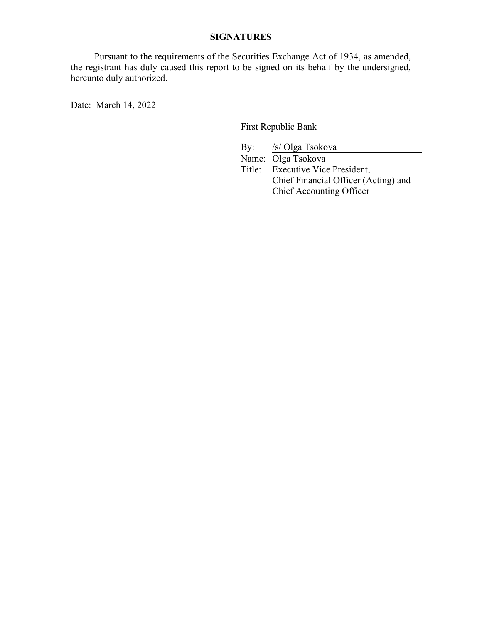### **SIGNATURES**

 Pursuant to the requirements of the Securities Exchange Act of 1934, as amended, the registrant has duly caused this report to be signed on its behalf by the undersigned, hereunto duly authorized.

Date: March 14, 2022

First Republic Bank

By: /s/ Olga Tsokova Name: Olga Tsokova Title: Executive Vice President, Chief Financial Officer (Acting) and Chief Accounting Officer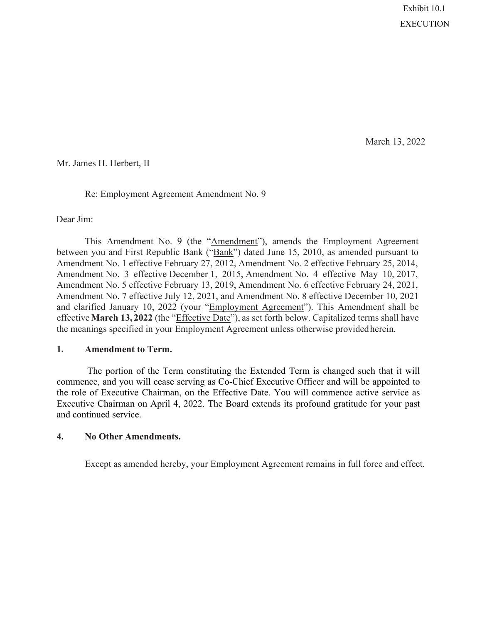**EXECUTION** Exhibit 10.1

March 13, 2022

Mr. James H. Herbert, II

Re: Employment Agreement Amendment No. 9

Dear Jim:

This Amendment No. 9 (the "Amendment"), amends the Employment Agreement between you and First Republic Bank ("Bank") dated June 15, 2010, as amended pursuant to Amendment No. 1 effective February 27, 2012, Amendment No. 2 effective February 25, 2014, Amendment No. 3 effective December 1, 2015, Amendment No. 4 effective May 10, 2017, Amendment No. 5 effective February 13, 2019, Amendment No. 6 effective February 24, 2021, Amendment No. 7 effective July 12, 2021, and Amendment No. 8 effective December 10, 2021 and clarified January 10, 2022 (your "Employment Agreement"). This Amendment shall be effective **March 13, 2022** (the "Effective Date"), as set forth below. Capitalized terms shall have the meanings specified in your Employment Agreement unless otherwise provided herein.

#### **1. Amendment to Term.**

The portion of the Term constituting the Extended Term is changed such that it will commence, and you will cease serving as Co-Chief Executive Officer and will be appointed to the role of Executive Chairman, on the Effective Date. You will commence active service as Executive Chairman on April 4, 2022. The Board extends its profound gratitude for your past and continued service.

#### **4. No Other Amendments.**

Except as amended hereby, your Employment Agreement remains in full force and effect.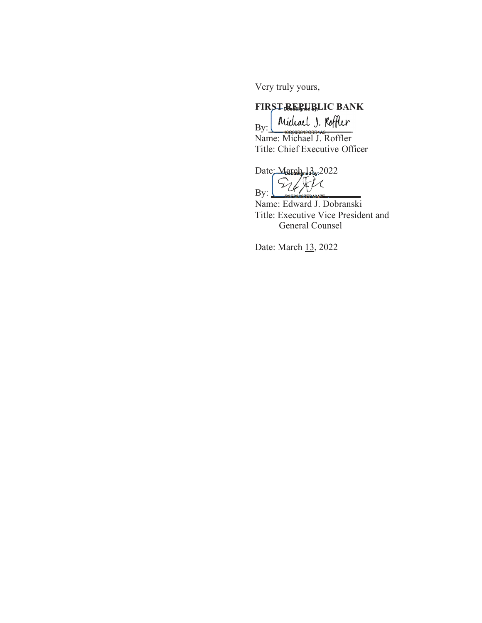Very truly yours,

# **FIRST REPUBLIC BANK** By: Michael J. Roffler

Name: Michael J. Roffler Title: Chief Executive Officer

Date: March 13, 2022  $S_{11}$  $\&\mathcal{U}$ By:

Name: Edward J. Dobranski Title: Executive Vice President and General Counsel

Date: March 13, 2022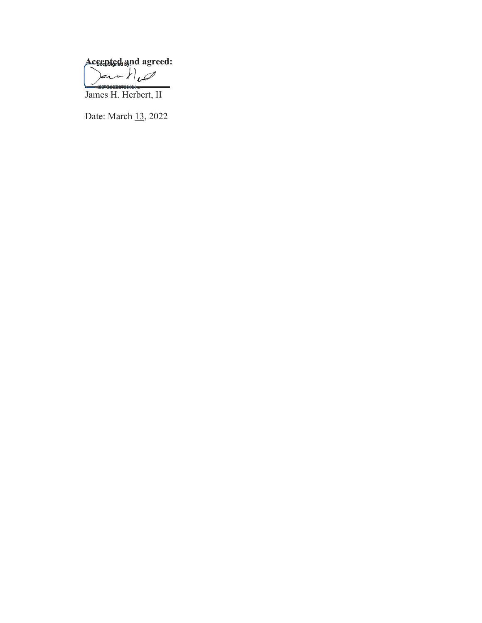Accepted and agreed:

James H. Herbert, II

Date: March 13, 2022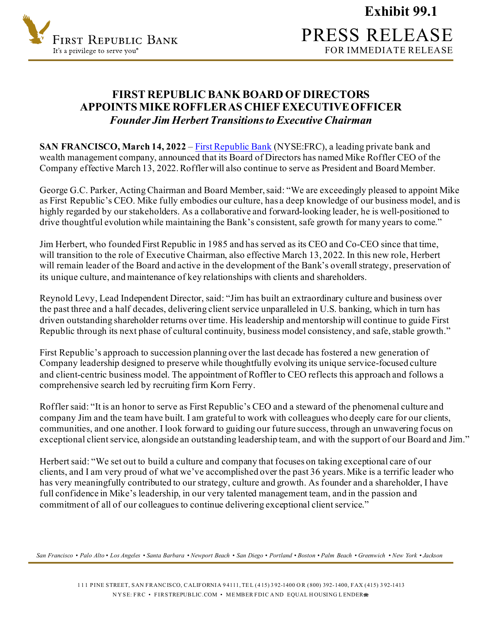

### **FIRST REPUBLIC BANK BOARD OF DIRECTORS APPOINTS MIKE ROFFLER AS CHIEF EXECUTIVE OFFICER** *Founder Jim Herbert Transitions to Executive Chairman*

**SAN FRANCISCO, March 14, 2022** [– First Republic Bank](http://www.firstrepublic.com/) (NYSE:FRC), a leading private bank and wealth management company, announced that its Board of Directors has named Mike Roffler CEO of the Company effective March 13, 2022. Roffler will also continue to serve as President and Board Member.

George G.C. Parker, Acting Chairman and Board Member, said: "We are exceedingly pleased to appoint Mike as First Republic's CEO. Mike fully embodies our culture, has a deep knowledge of our business model, and is highly regarded by our stakeholders. As a collaborative and forward-looking leader, he is well-positioned to drive thoughtful evolution while maintaining the Bank's consistent, safe growth for many years to come."

Jim Herbert, who founded First Republic in 1985 and has served as its CEO and Co-CEO since that time, will transition to the role of Executive Chairman, also effective March 13, 2022. In this new role, Herbert will remain leader of the Board and active in the development of the Bank's overall strategy, preservation of its unique culture, and maintenance of key relationships with clients and shareholders.

Reynold Levy, Lead Independent Director, said: "Jim has built an extraordinary culture and business over the past three and a half decades, delivering client service unparalleled in U.S. banking, which in turn has driven outstanding shareholder returns over time. His leadership and mentorship will continue to guide First Republic through its next phase of cultural continuity, business model consistency, and safe, stable growth."

First Republic's approach to succession planning over the last decade has fostered a new generation of Company leadership designed to preserve while thoughtfully evolving its unique service-focused culture and client-centric business model. The appointment of Roffler to CEO reflects this approach and follows a comprehensive search led by recruiting firm Korn Ferry.

Roffler said: "It is an honor to serve as First Republic's CEO and a steward of the phenomenal culture and company Jim and the team have built. I am grateful to work with colleagues who deeply care for our clients, communities, and one another. I look forward to guiding our future success, through an unwavering focus on exceptional client service, alongside an outstanding leadership team, and with the support of our Board and Jim."

Herbert said: "We set out to build a culture and company that focuses on taking exceptional care of our clients, and I am very proud of what we've accomplished over the past 36 years. Mike is a terrific leader who has very meaningfully contributed to our strategy, culture and growth. As founder and a shareholder, I have full confidence in Mike's leadership, in our very talented management team, and in the passion and commitment of all of our colleagues to continue delivering exceptional client service."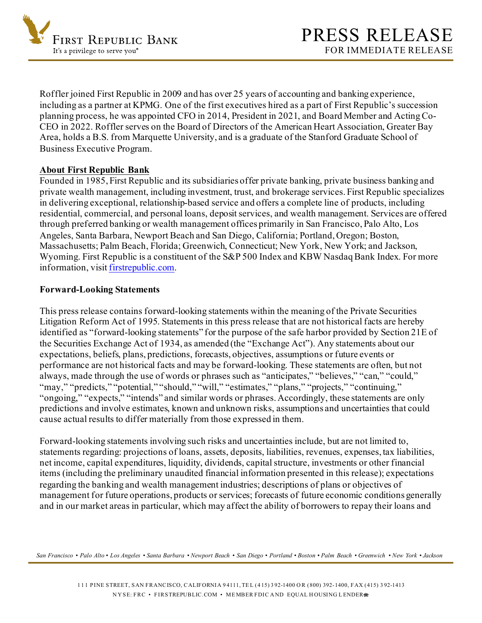

Roffler joined First Republic in 2009 and has over 25 years of accounting and banking experience, including as a partner at KPMG. One of the first executives hired as a part of First Republic's succession planning process, he was appointed CFO in 2014, President in 2021, and Board Member and Acting Co-CEO in 2022. Roffler serves on the Board of Directors of the American Heart Association, Greater Bay Area, holds a B.S. from Marquette University, and is a graduate of the Stanford Graduate School of Business Executive Program.

#### **About First Republic Bank**

Founded in 1985, First Republic and its subsidiaries offer private banking, private business banking and private wealth management, including investment, trust, and brokerage services. First Republic specializes in delivering exceptional, relationship-based service and offers a complete line of products, including residential, commercial, and personal loans, deposit services, and wealth management. Services are offered through preferred banking or wealth management offices primarily in San Francisco, Palo Alto, Los Angeles, Santa Barbara, Newport Beach and San Diego, California; Portland, Oregon; Boston, Massachusetts; Palm Beach, Florida; Greenwich, Connecticut; New York, New York; and Jackson, Wyoming. First Republic is a constituent of the S&P 500 Index and KBW Nasdaq Bank Index. For more information, visi[t firstrepublic.com](http://www.firstrepublic.com/).

#### **Forward-Looking Statements**

This press release contains forward-looking statements within the meaning of the Private Securities Litigation Reform Act of 1995. Statements in this press release that are not historical facts are hereby identified as "forward-looking statements" for the purpose of the safe harbor provided by Section 21E of the Securities Exchange Act of 1934, as amended (the "Exchange Act"). Any statements about our expectations, beliefs, plans, predictions, forecasts, objectives, assumptions or future events or performance are not historical facts and may be forward-looking. These statements are often, but not always, made through the use of words or phrases such as "anticipates," "believes," "can," "could," "may," "predicts," "potential," "should," "will," "estimates," "plans," "projects," "continuing," "ongoing," "expects," "intends" and similar words or phrases. Accordingly, these statements are only predictions and involve estimates, known and unknown risks, assumptions and uncertainties that could cause actual results to differ materially from those expressed in them.

Forward-looking statements involving such risks and uncertainties include, but are not limited to, statements regarding: projections of loans, assets, deposits, liabilities, revenues, expenses, tax liabilities, net income, capital expenditures, liquidity, dividends, capital structure, investments or other financial items (including the preliminary unaudited financial information presented in this release); expectations regarding the banking and wealth management industries; descriptions of plans or objectives of management for future operations, products or services; forecasts of future economic conditions generally and in our market areas in particular, which may affect the ability of borrowers to repay their loans and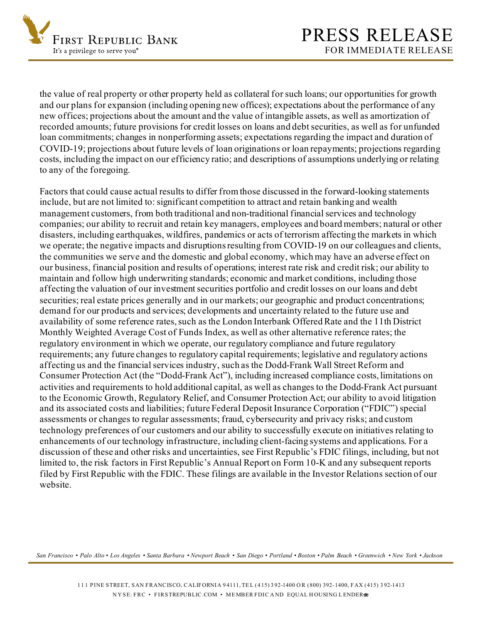

the value of real property or other property held as collateral for such loans; our opportunities for growth and our plans for expansion (including opening new offices); expectations about the performance of any new offices; projections about the amount and the value of intangible assets, as well as amortization of recorded amounts; future provisions for credit losses on loans and debt securities, as well as for unfunded loan commitments; changes in nonperforming assets; expectations regarding the impact and duration of COVID-19; projections about future levels of loan originations or loan repayments; projections regarding costs, including the impact on our efficiency ratio; and descriptions of assumptions underlying or relating to any of the foregoing.

Factors that could cause actual results to differ from those discussed in the forward-looking statements include, but are not limited to: significant competition to attract and retain banking and wealth management customers, from both traditional and non-traditional financial services and technology companies; our ability to recruit and retain key managers, employees and board members; natural or other disasters, including earthquakes, wildfires, pandemics or acts of terrorism affecting the markets in which we operate; the negative impacts and disruptions resulting from COVID-19 on our colleagues and clients, the communities we serve and the domestic and global economy, which may have an adverse effect on our business, financial position and results of operations; interest rate risk and credit risk; our ability to maintain and follow high underwriting standards; economic and market conditions, including those affecting the valuation of our investment securities portfolio and credit losses on our loans and debt securities; real estate prices generally and in our markets; our geographic and product concentrations; demand for our products and services; developments and uncertainty related to the future use and availability of some reference rates, such as the London Interbank Offered Rate and the 11th District Monthly Weighted Average Cost of Funds Index, as well as other alternative reference rates; the regulatory environment in which we operate, our regulatory compliance and future regulatory requirements; any future changes to regulatory capital requirements; legislative and regulatory actions affecting us and the financial services industry, such as the Dodd-Frank Wall Street Reform and Consumer Protection Act (the "Dodd-Frank Act"), including increased compliance costs, limitations on activities and requirements to hold additional capital, as well as changes to the Dodd-Frank Act pursuant to the Economic Growth, Regulatory Relief, and Consumer Protection Act; our ability to avoid litigation and its associated costs and liabilities; future Federal Deposit Insurance Corporation ("FDIC") special assessments or changes to regular assessments; fraud, cybersecurity and privacy risks; and custom technology preferences of our customers and our ability to successfully execute on initiatives relating to enhancements of our technology infrastructure, including client-facing systems and applications. For a discussion of these and other risks and uncertainties, see First Republic's FDIC filings, including, but not limited to, the risk factors in First Republic's Annual Report on Form 10-K and any subsequent reports filed by First Republic with the FDIC. These filings are available in the Investor Relations section of our website.